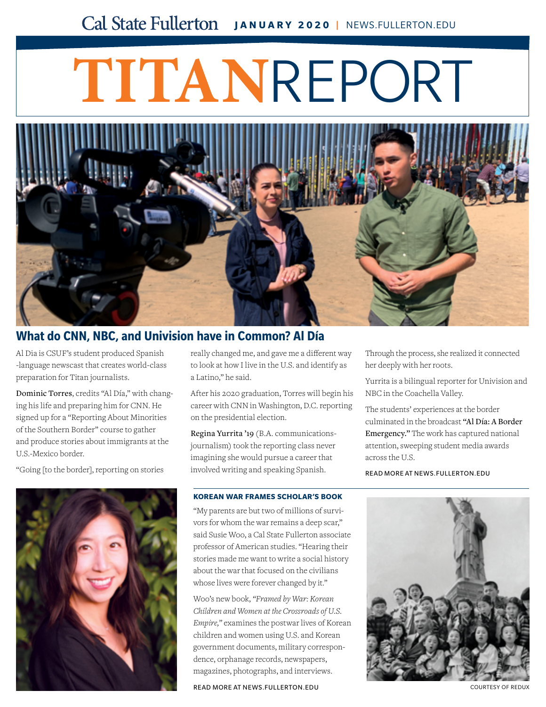## Cal State Fullerton JANUARY 2020 | NEWS.FULLERTON.EDU

# **TITAN**REPORT



### **[What do CNN, NBC, and Univision have in Common? Al Día](http://news.fullerton.edu/2019fa/Al-Dia-Broadcast.aspx)**

Al Dia is CSUF's student produced Spanish -language newscast that creates world-class preparation for Titan journalists.

Dominic Torres, credits "Al Día," with changing his life and preparing him for CNN. He signed up for a "Reporting About Minorities of the Southern Border" course to gather and produce stories about immigrants at the U.S.-Mexico border.

"Going [to the border], reporting on stories



really changed me, and gave me a different way to look at how I live in the U.S. and identify as a Latino," he said.

After his 2020 graduation, Torres will begin his career with CNN in Washington, D.C. reporting on the presidential election.

Regina Yurrita '19 (B.A. communicationsjournalism) took the reporting class never imagining she would pursue a career that involved writing and speaking Spanish.

#### **KOREAN WAR FRAMES SCHOLAR'S BOOK**

"My parents are but two of millions of survivors for whom the war remains a deep scar," [said Susie Woo, a Cal State Fullerton associate](http://news.fullerton.edu/2019fa/Korean-War-Susie-Woo.aspx)  professor of American studies. "Hearing their stories made me want to write a social history about the war that focused on the civilians whose lives were forever changed by it."

Woo's new book, *"Framed by War: Korean Children and Women at the Crossroads of U.S. Empire,"* examines the postwar lives of Korean children and women using U.S. and Korean government documents, military correspondence, orphanage records, newspapers, magazines, photographs, and interviews.

READ MORE AT [NEWS.FULLERTON.EDU](news.fullerton.edu)

Through the process, she realized it connected her deeply with her roots.

Yurrita is a bilingual reporter for Univision and NBC in the Coachella Valley.

The students' experiences at the border culminated in the broadcast "Al Día: A Border Emergency." The work has captured national attention, sweeping student media awards across the U.S.

READ MORE AT [NEWS.FULLERTON.EDU](news.fullerton.edu)



COURTESY OF REDUX